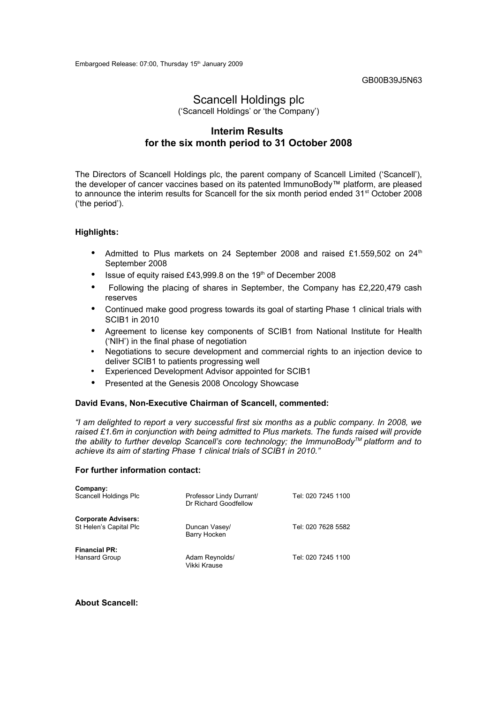GB00B39J5N63

# Scancell Holdings plc

('Scancell Holdings' or 'the Company')

### **Interim Results for the six month period to 31 October 2008**

The Directors of Scancell Holdings plc, the parent company of Scancell Limited ('Scancell'), the developer of cancer vaccines based on its patented ImmunoBody™ platform, are pleased to announce the interim results for Scancell for the six month period ended 31<sup>st</sup> October 2008 ('the period').

#### **Highlights:**

- Admitted to Plus markets on 24 September 2008 and raised £1.559,502 on 24<sup>th</sup> September 2008
- Issue of equity raised £43,999.8 on the 19th of December 2008
- Following the placing of shares in September, the Company has £2,220,479 cash reserves
- Continued make good progress towards its goal of starting Phase 1 clinical trials with SCIB1 in 2010
- Agreement to license key components of SCIB1 from National Institute for Health ('NIH') in the final phase of negotiation
- Negotiations to secure development and commercial rights to an injection device to deliver SCIB1 to patients progressing well
- Experienced Development Advisor appointed for SCIB1
- Presented at the Genesis 2008 Oncology Showcase

#### **David Evans, Non-Executive Chairman of Scancell, commented:**

*"I am delighted to report a very successful first six months as a public company. In 2008, we raised £1.6m in conjunction with being admitted to Plus markets. The funds raised will provide the ability to further develop Scancell's core technology; the ImmunoBodyTM platform and to achieve its aim of starting Phase 1 clinical trials of SCIB1 in 2010."*

#### **For further information contact:**

| Company:<br>Scancell Holdings Plc                    | Professor Lindy Durrant/<br>Dr Richard Goodfellow | Tel: 020 7245 1100 |
|------------------------------------------------------|---------------------------------------------------|--------------------|
| <b>Corporate Advisers:</b><br>St Helen's Capital Plc | Duncan Vasey/<br>Barry Hocken                     | Tel: 020 7628 5582 |
| <b>Financial PR:</b><br>Hansard Group                | Adam Reynolds/<br>Vikki Krause                    | Tel: 020 7245 1100 |

**About Scancell:**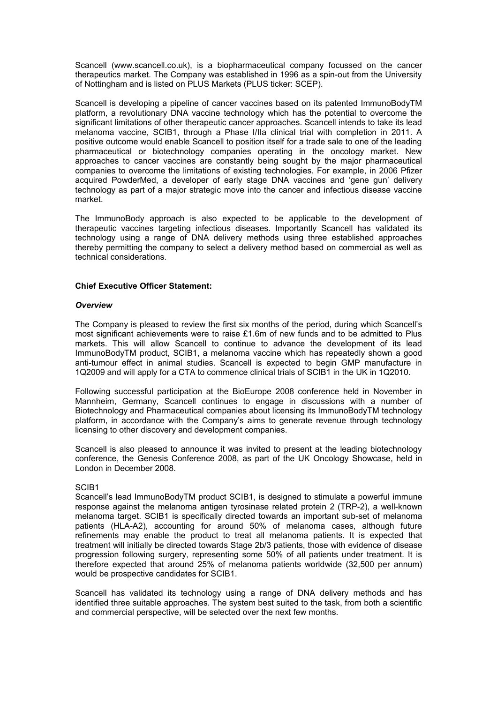Scancell (www.scancell.co.uk), is a biopharmaceutical company focussed on the cancer therapeutics market. The Company was established in 1996 as a spin-out from the University of Nottingham and is listed on PLUS Markets (PLUS ticker: SCEP).

Scancell is developing a pipeline of cancer vaccines based on its patented ImmunoBodyTM platform, a revolutionary DNA vaccine technology which has the potential to overcome the significant limitations of other therapeutic cancer approaches. Scancell intends to take its lead melanoma vaccine, SCIB1, through a Phase I/IIa clinical trial with completion in 2011. A positive outcome would enable Scancell to position itself for a trade sale to one of the leading pharmaceutical or biotechnology companies operating in the oncology market. New approaches to cancer vaccines are constantly being sought by the major pharmaceutical companies to overcome the limitations of existing technologies. For example, in 2006 Pfizer acquired PowderMed, a developer of early stage DNA vaccines and 'gene gun' delivery technology as part of a major strategic move into the cancer and infectious disease vaccine market.

The ImmunoBody approach is also expected to be applicable to the development of therapeutic vaccines targeting infectious diseases. Importantly Scancell has validated its technology using a range of DNA delivery methods using three established approaches thereby permitting the company to select a delivery method based on commercial as well as technical considerations.

#### **Chief Executive Officer Statement:**

#### *Overview*

The Company is pleased to review the first six months of the period, during which Scancell's most significant achievements were to raise £1.6m of new funds and to be admitted to Plus markets. This will allow Scancell to continue to advance the development of its lead ImmunoBodyTM product, SCIB1, a melanoma vaccine which has repeatedly shown a good anti-tumour effect in animal studies. Scancell is expected to begin GMP manufacture in 1Q2009 and will apply for a CTA to commence clinical trials of SCIB1 in the UK in 1Q2010.

Following successful participation at the BioEurope 2008 conference held in November in Mannheim, Germany, Scancell continues to engage in discussions with a number of Biotechnology and Pharmaceutical companies about licensing its ImmunoBodyTM technology platform, in accordance with the Company's aims to generate revenue through technology licensing to other discovery and development companies.

Scancell is also pleased to announce it was invited to present at the leading biotechnology conference, the Genesis Conference 2008, as part of the UK Oncology Showcase, held in London in December 2008.

#### SCIB1

Scancell's lead ImmunoBodyTM product SCIB1, is designed to stimulate a powerful immune response against the melanoma antigen tyrosinase related protein 2 (TRP-2), a well-known melanoma target. SCIB1 is specifically directed towards an important sub-set of melanoma patients (HLA-A2), accounting for around 50% of melanoma cases, although future refinements may enable the product to treat all melanoma patients. It is expected that treatment will initially be directed towards Stage 2b/3 patients, those with evidence of disease progression following surgery, representing some 50% of all patients under treatment. It is therefore expected that around 25% of melanoma patients worldwide (32,500 per annum) would be prospective candidates for SCIB1.

Scancell has validated its technology using a range of DNA delivery methods and has identified three suitable approaches. The system best suited to the task, from both a scientific and commercial perspective, will be selected over the next few months.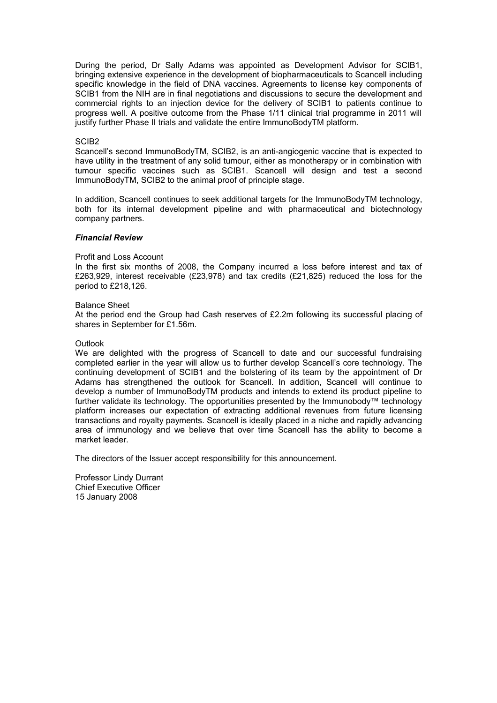During the period, Dr Sally Adams was appointed as Development Advisor for SCIB1, bringing extensive experience in the development of biopharmaceuticals to Scancell including specific knowledge in the field of DNA vaccines. Agreements to license key components of SCIB1 from the NIH are in final negotiations and discussions to secure the development and commercial rights to an injection device for the delivery of SCIB1 to patients continue to progress well. A positive outcome from the Phase 1/11 clinical trial programme in 2011 will justify further Phase II trials and validate the entire ImmunoBodyTM platform.

#### SCIB2

Scancell's second ImmunoBodyTM, SCIB2, is an anti-angiogenic vaccine that is expected to have utility in the treatment of any solid tumour, either as monotherapy or in combination with tumour specific vaccines such as SCIB1. Scancell will design and test a second ImmunoBodyTM, SCIB2 to the animal proof of principle stage.

In addition, Scancell continues to seek additional targets for the ImmunoBodyTM technology, both for its internal development pipeline and with pharmaceutical and biotechnology company partners.

#### *Financial Review*

#### Profit and Loss Account

In the first six months of 2008, the Company incurred a loss before interest and tax of £263,929, interest receivable (£23,978) and tax credits (£21,825) reduced the loss for the period to £218,126.

#### Balance Sheet

At the period end the Group had Cash reserves of £2.2m following its successful placing of shares in September for £1.56m.

#### **Outlook**

We are delighted with the progress of Scancell to date and our successful fundraising completed earlier in the year will allow us to further develop Scancell's core technology. The continuing development of SCIB1 and the bolstering of its team by the appointment of Dr Adams has strengthened the outlook for Scancell. In addition, Scancell will continue to develop a number of ImmunoBodyTM products and intends to extend its product pipeline to further validate its technology. The opportunities presented by the Immunobody™ technology platform increases our expectation of extracting additional revenues from future licensing transactions and royalty payments. Scancell is ideally placed in a niche and rapidly advancing area of immunology and we believe that over time Scancell has the ability to become a market leader.

The directors of the Issuer accept responsibility for this announcement.

Professor Lindy Durrant Chief Executive Officer 15 January 2008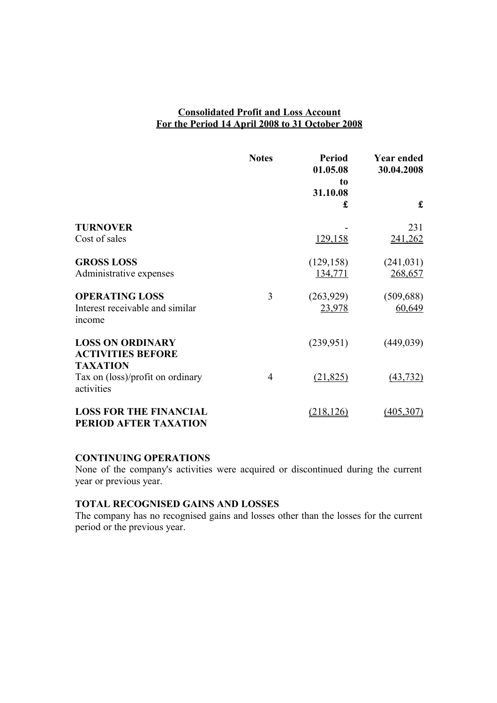# **Consolidated Profit and Loss Account For the Period 14 April 2008 to 31 October 2008**

|                                                                    | <b>Notes</b>   | <b>Period</b><br>01.05.08<br>to | <b>Year ended</b><br>30.04.2008 |
|--------------------------------------------------------------------|----------------|---------------------------------|---------------------------------|
|                                                                    |                | 31.10.08<br>£                   | £                               |
| <b>TURNOVER</b><br>Cost of sales                                   |                | 129,158                         | 231<br>241,262                  |
| <b>GROSS LOSS</b><br>Administrative expenses                       |                | (129, 158)<br>134,771           | (241, 031)<br>268,657           |
| <b>OPERATING LOSS</b><br>Interest receivable and similar<br>income | 3              | (263, 929)<br>23,978            | (509, 688)<br>60,649            |
| <b>LOSS ON ORDINARY</b><br><b>ACTIVITIES BEFORE</b>                |                | (239, 951)                      | (449, 039)                      |
| <b>TAXATION</b><br>Tax on (loss)/profit on ordinary<br>activities  | $\overline{4}$ | (21, 825)                       | (43, 732)                       |
| <b>LOSS FOR THE FINANCIAL</b><br>PERIOD AFTER TAXATION             |                | <u>(218,126)</u>                | (405, 307)                      |

### **CONTINUING OPERATIONS**

None of the company's activities were acquired or discontinued during the current year or previous year.

# **TOTAL RECOGNISED GAINS AND LOSSES**

The company has no recognised gains and losses other than the losses for the current period or the previous year.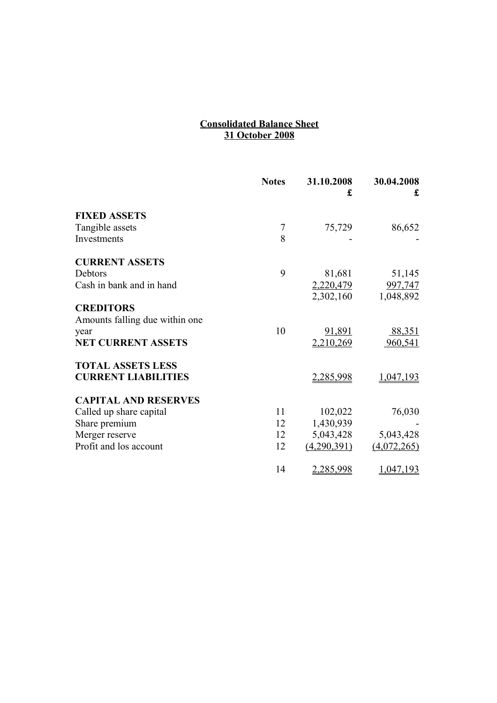### **Consolidated Balance Sheet 31 October 2008**

|                                | <b>Notes</b> | 31.10.2008<br>£ | 30.04.2008<br>£ |
|--------------------------------|--------------|-----------------|-----------------|
| <b>FIXED ASSETS</b>            |              |                 |                 |
| Tangible assets                | 7            | 75,729          | 86,652          |
| Investments                    | 8            |                 |                 |
| <b>CURRENT ASSETS</b>          |              |                 |                 |
| Debtors                        | 9            | 81,681          | 51,145          |
| Cash in bank and in hand       |              | 2,220,479       | <u>997,747</u>  |
|                                |              | 2,302,160       | 1,048,892       |
| <b>CREDITORS</b>               |              |                 |                 |
| Amounts falling due within one |              |                 |                 |
| year                           | 10           | 91,891          | 88,351          |
| <b>NET CURRENT ASSETS</b>      |              | 2,210,269       | 960,541         |
| <b>TOTAL ASSETS LESS</b>       |              |                 |                 |
| <b>CURRENT LIABILITIES</b>     |              | 2,285,998       | 1,047,193       |
| <b>CAPITAL AND RESERVES</b>    |              |                 |                 |
| Called up share capital        | 11           | 102,022         | 76,030          |
| Share premium                  | 12           | 1,430,939       |                 |
| Merger reserve                 | 12           | 5,043,428       | 5,043,428       |
| Profit and los account         | 12           | (4,290,391)     | (4,072,265)     |
|                                | 14           | 2,285,998       | 1,047,193       |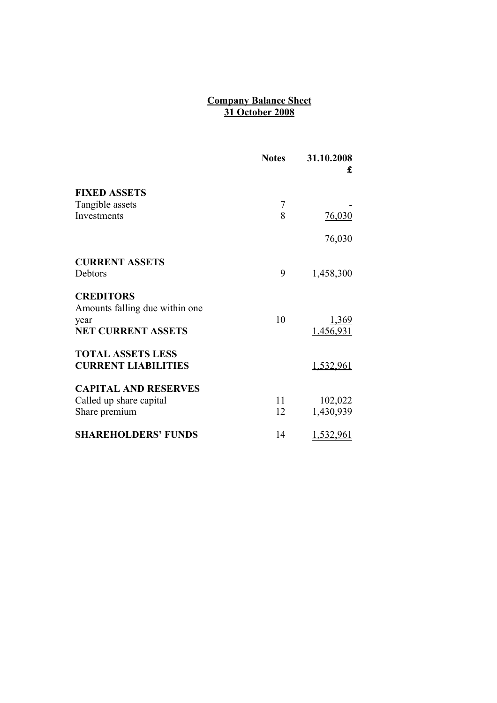### **Company Balance Sheet 31 October 2008**

|                                 | <b>Notes</b> | 31.10.2008<br>£ |
|---------------------------------|--------------|-----------------|
| <b>FIXED ASSETS</b>             |              |                 |
| Tangible assets                 | 7            |                 |
| Investments                     | 8            | 76,030          |
|                                 |              | 76,030          |
| <b>CURRENT ASSETS</b>           |              |                 |
| Debtors                         | 9            | 1,458,300       |
| <b>CREDITORS</b>                |              |                 |
| Amounts falling due within one. |              |                 |
| year                            | 10           | <u>1,369</u>    |
| <b>NET CURRENT ASSETS</b>       |              | 1,456,931       |
| <b>TOTAL ASSETS LESS</b>        |              |                 |
| <b>CURRENT LIABILITIES</b>      |              | 1,532,961       |
| <b>CAPITAL AND RESERVES</b>     |              |                 |
| Called up share capital         | 11           | 102,022         |
| Share premium                   | 12           | 1,430,939       |
| <b>SHAREHOLDERS' FUNDS</b>      | 14           | 1,532,961       |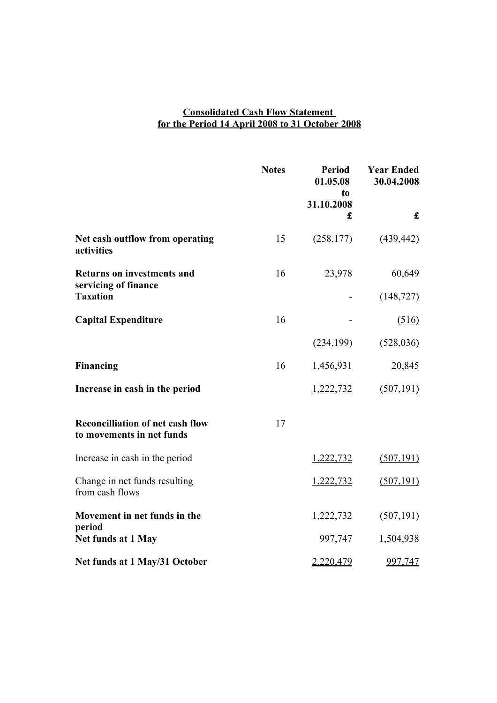### **Consolidated Cash Flow Statement for the Period 14 April 2008 to 31 October 2008**

|                                                                      | <b>Notes</b> | <b>Period</b><br>01.05.08<br>t <sub>0</sub><br>31.10.2008 | <b>Year Ended</b><br>30.04.2008 |
|----------------------------------------------------------------------|--------------|-----------------------------------------------------------|---------------------------------|
|                                                                      |              | £                                                         | $\mathbf f$                     |
| Net cash outflow from operating<br>activities                        | 15           | (258, 177)                                                | (439, 442)                      |
| <b>Returns on investments and</b>                                    | 16           | 23,978                                                    | 60,649                          |
| servicing of finance<br><b>Taxation</b>                              |              |                                                           | (148, 727)                      |
| <b>Capital Expenditure</b>                                           | 16           |                                                           | (516)                           |
|                                                                      |              | (234, 199)                                                | (528, 036)                      |
| <b>Financing</b>                                                     | 16           | 1,456,931                                                 | 20,845                          |
| Increase in cash in the period                                       |              | 1,222,732                                                 | (507, 191)                      |
| <b>Reconcilliation of net cash flow</b><br>to movements in net funds | 17           |                                                           |                                 |
| Increase in cash in the period                                       |              | 1,222,732                                                 | (507, 191)                      |
| Change in net funds resulting<br>from cash flows                     |              | 1,222,732                                                 | (507, 191)                      |
| Movement in net funds in the<br>period                               |              | 1,222,732                                                 | (507, 191)                      |
| Net funds at 1 May                                                   |              | 997,747                                                   | 1,504,938                       |
| Net funds at 1 May/31 October                                        |              | 2,220,479                                                 | 997,747                         |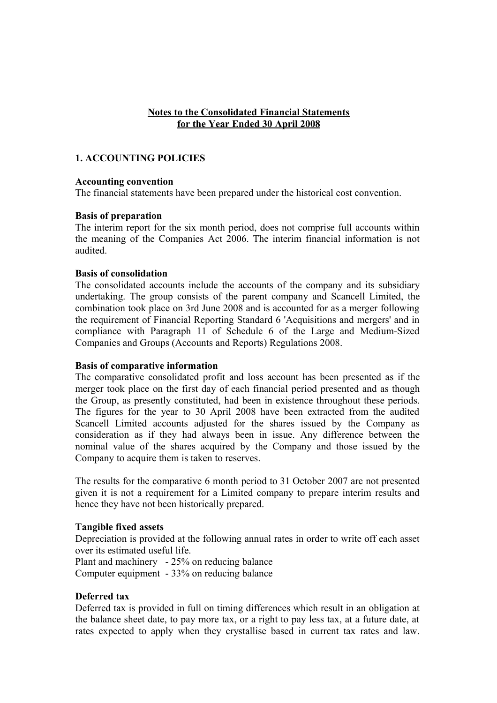### **Notes to the Consolidated Financial Statements for the Year Ended 30 April 2008**

### **1. ACCOUNTING POLICIES**

#### **Accounting convention**

The financial statements have been prepared under the historical cost convention.

#### **Basis of preparation**

The interim report for the six month period, does not comprise full accounts within the meaning of the Companies Act 2006. The interim financial information is not audited.

### **Basis of consolidation**

The consolidated accounts include the accounts of the company and its subsidiary undertaking. The group consists of the parent company and Scancell Limited, the combination took place on 3rd June 2008 and is accounted for as a merger following the requirement of Financial Reporting Standard 6 'Acquisitions and mergers' and in compliance with Paragraph 11 of Schedule 6 of the Large and Medium-Sized Companies and Groups (Accounts and Reports) Regulations 2008.

#### **Basis of comparative information**

The comparative consolidated profit and loss account has been presented as if the merger took place on the first day of each financial period presented and as though the Group, as presently constituted, had been in existence throughout these periods. The figures for the year to 30 April 2008 have been extracted from the audited Scancell Limited accounts adjusted for the shares issued by the Company as consideration as if they had always been in issue. Any difference between the nominal value of the shares acquired by the Company and those issued by the Company to acquire them is taken to reserves.

The results for the comparative 6 month period to 31 October 2007 are not presented given it is not a requirement for a Limited company to prepare interim results and hence they have not been historically prepared.

#### **Tangible fixed assets**

Depreciation is provided at the following annual rates in order to write off each asset over its estimated useful life.

Plant and machinery - 25% on reducing balance Computer equipment - 33% on reducing balance

#### **Deferred tax**

Deferred tax is provided in full on timing differences which result in an obligation at the balance sheet date, to pay more tax, or a right to pay less tax, at a future date, at rates expected to apply when they crystallise based in current tax rates and law.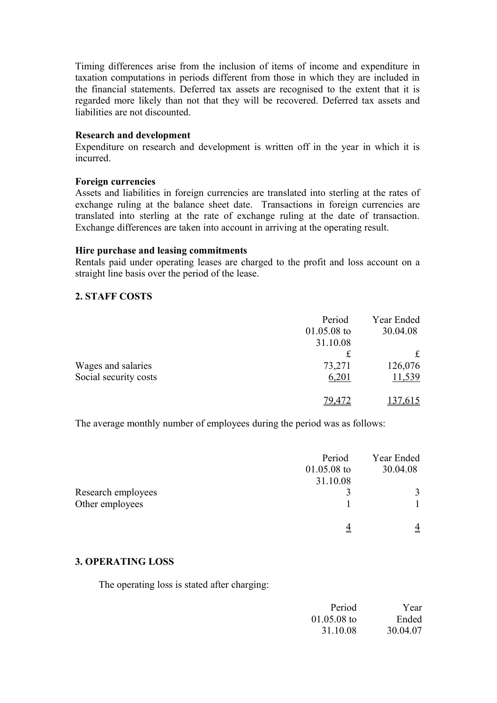Timing differences arise from the inclusion of items of income and expenditure in taxation computations in periods different from those in which they are included in the financial statements. Deferred tax assets are recognised to the extent that it is regarded more likely than not that they will be recovered. Deferred tax assets and liabilities are not discounted.

### **Research and development**

Expenditure on research and development is written off in the year in which it is incurred.

### **Foreign currencies**

Assets and liabilities in foreign currencies are translated into sterling at the rates of exchange ruling at the balance sheet date. Transactions in foreign currencies are translated into sterling at the rate of exchange ruling at the date of transaction. Exchange differences are taken into account in arriving at the operating result.

#### **Hire purchase and leasing commitments**

Rentals paid under operating leases are charged to the profit and loss account on a straight line basis over the period of the lease.

### **2. STAFF COSTS**

|                       | Period        | Year Ended    |
|-----------------------|---------------|---------------|
|                       | $01.05.08$ to | 30.04.08      |
|                       | 31.10.08      |               |
|                       | £             | £             |
| Wages and salaries    | 73,271        | 126,076       |
| Social security costs | 6,201         | <u>11,539</u> |
|                       | 7Q.           | .615          |

The average monthly number of employees during the period was as follows:

|                    | Period        | Year Ended     |
|--------------------|---------------|----------------|
|                    | $01.05.08$ to | 30.04.08       |
|                    | 31.10.08      |                |
| Research employees |               | 3              |
| Other employees    |               |                |
|                    |               | $\overline{4}$ |

### **3. OPERATING LOSS**

The operating loss is stated after charging:

| Period        | Year     |
|---------------|----------|
| $01.05.08$ to | Ended    |
| 31.10.08      | 30.04.07 |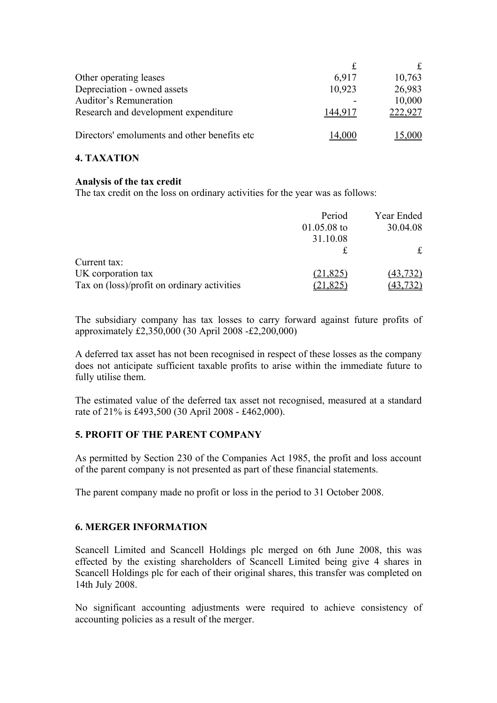| Other operating leases                        | 6,917   | 10,763  |
|-----------------------------------------------|---------|---------|
| Depreciation - owned assets                   | 10,923  | 26,983  |
| <b>Auditor's Remuneration</b>                 |         | 10,000  |
| Research and development expenditure          | 144 917 | 222,927 |
| Directors' emoluments and other benefits etc. | 14.000  | 15,000  |

# **4. TAXATION**

### **Analysis of the tax credit**

The tax credit on the loss on ordinary activities for the year was as follows:

|                                             | Period        | Year Ended |
|---------------------------------------------|---------------|------------|
|                                             | $01.05.08$ to | 30.04.08   |
|                                             | 31.10.08      |            |
|                                             |               | £          |
| Current tax:                                |               |            |
| UK corporation tax                          | (21, 825)     | (43, 732)  |
| Tax on (loss)/profit on ordinary activities | 21,825        |            |

The subsidiary company has tax losses to carry forward against future profits of approximately £2,350,000 (30 April 2008 -£2,200,000)

A deferred tax asset has not been recognised in respect of these losses as the company does not anticipate sufficient taxable profits to arise within the immediate future to fully utilise them.

The estimated value of the deferred tax asset not recognised, measured at a standard rate of 21% is £493,500 (30 April 2008 - £462,000).

# **5. PROFIT OF THE PARENT COMPANY**

As permitted by Section 230 of the Companies Act 1985, the profit and loss account of the parent company is not presented as part of these financial statements.

The parent company made no profit or loss in the period to 31 October 2008.

# **6. MERGER INFORMATION**

Scancell Limited and Scancell Holdings plc merged on 6th June 2008, this was effected by the existing shareholders of Scancell Limited being give 4 shares in Scancell Holdings plc for each of their original shares, this transfer was completed on 14th July 2008.

No significant accounting adjustments were required to achieve consistency of accounting policies as a result of the merger.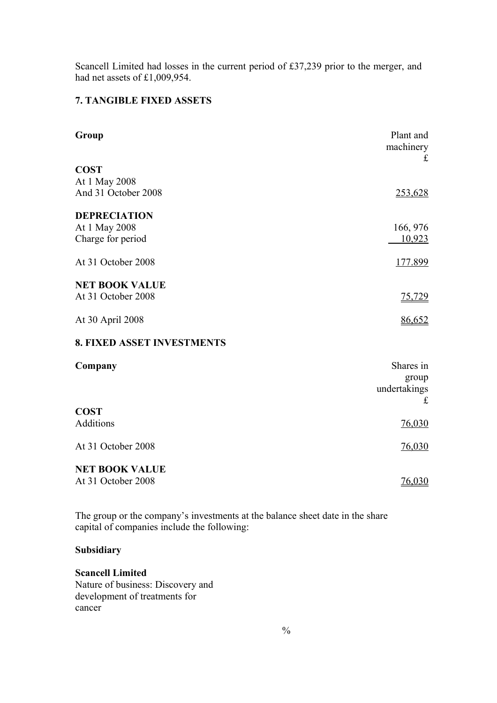Scancell Limited had losses in the current period of £37,239 prior to the merger, and had net assets of £1,009,954.

# **7. TANGIBLE FIXED ASSETS**

| Group                             | Plant and<br>machinery |
|-----------------------------------|------------------------|
| <b>COST</b>                       | $\mathbf f$            |
| At 1 May 2008                     |                        |
| And 31 October 2008               | 253,628                |
| <b>DEPRECIATION</b>               |                        |
| At 1 May 2008                     | 166, 976               |
| Charge for period                 | 10,923                 |
| At 31 October 2008                | <u>177.899</u>         |
| <b>NET BOOK VALUE</b>             |                        |
| At 31 October 2008                | <u>75,729</u>          |
| At 30 April 2008                  | 86,652                 |
| <b>8. FIXED ASSET INVESTMENTS</b> |                        |
| Company                           | Shares in              |
|                                   | group                  |
|                                   | undertakings<br>£      |
| <b>COST</b>                       |                        |
| Additions                         | 76,030                 |
| At 31 October 2008                | 76,030                 |
| <b>NET BOOK VALUE</b>             |                        |
| At 31 October 2008                | 76,030                 |

The group or the company's investments at the balance sheet date in the share capital of companies include the following:

# **Subsidiary**

# **Scancell Limited**

Nature of business: Discovery and development of treatments for cancer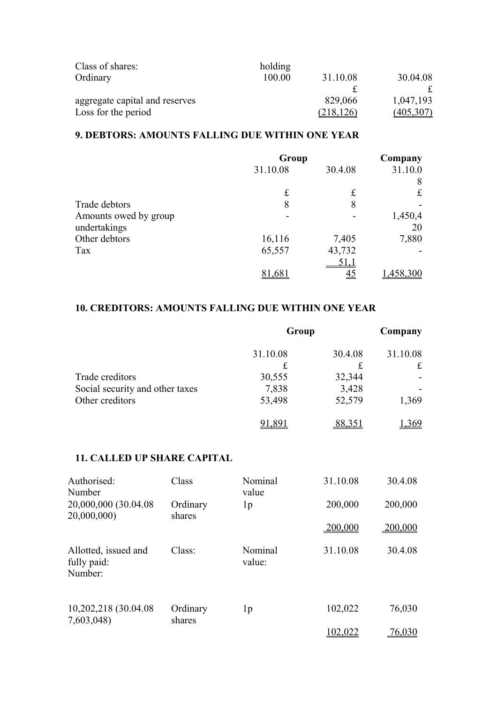| Class of shares:               | holding |            |            |
|--------------------------------|---------|------------|------------|
| Ordinary                       | 100.00  | 31.10.08   | 30.04.08   |
|                                |         |            |            |
| aggregate capital and reserves |         | 829,066    | 1,047,193  |
| Loss for the period            |         | (218, 126) | (405, 307) |

# **9. DEBTORS: AMOUNTS FALLING DUE WITHIN ONE YEAR**

|                       | Group    |            | Company |
|-----------------------|----------|------------|---------|
|                       | 31.10.08 | 30.4.08    | 31.10.0 |
|                       |          |            | 8       |
|                       | £        | £          | £       |
| Trade debtors         | 8        | 8          |         |
| Amounts owed by group |          |            | 1,450,4 |
| undertakings          |          |            | 20      |
| Other debtors         | 16,116   | 7,405      | 7,880   |
| Tax                   | 65,557   | 43,732     |         |
|                       |          | <u>51.</u> |         |
|                       |          | <u>45</u>  |         |

# **10. CREDITORS: AMOUNTS FALLING DUE WITHIN ONE YEAR**

|                                 | Group    |         | Company  |
|---------------------------------|----------|---------|----------|
|                                 | 31.10.08 | 30.4.08 | 31.10.08 |
|                                 | £        |         | £        |
| Trade creditors                 | 30,555   | 32,344  |          |
| Social security and other taxes | 7,838    | 3,428   |          |
| Other creditors                 | 53,498   | 52,579  | 1,369    |
|                                 |          |         |          |

### **11. CALLED UP SHARE CAPITAL**

| Authorised:<br>Number                          | Class              | Nominal<br>value  | 31.10.08       | 30.4.08 |
|------------------------------------------------|--------------------|-------------------|----------------|---------|
| 20,000,000 (30.04.08)<br>20,000,000)           | Ordinary<br>shares | 1 <sub>p</sub>    | 200,000        | 200,000 |
|                                                |                    |                   | 200,000        | 200,000 |
| Allotted, issued and<br>fully paid:<br>Number: | Class:             | Nominal<br>value: | 31.10.08       | 30.4.08 |
| 10,202,218 (30.04.08)<br>7,603,048)            | Ordinary<br>shares | 1 <sub>p</sub>    | 102,022        | 76,030  |
|                                                |                    |                   | <u>102,022</u> | 76,030  |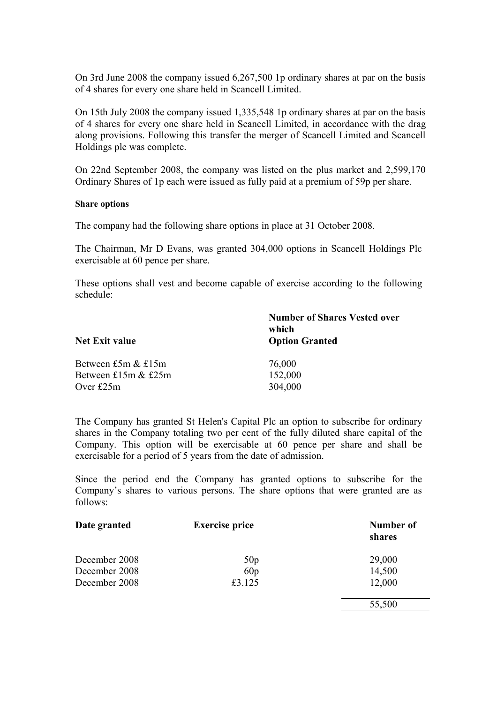On 3rd June 2008 the company issued 6,267,500 1p ordinary shares at par on the basis of 4 shares for every one share held in Scancell Limited.

On 15th July 2008 the company issued 1,335,548 1p ordinary shares at par on the basis of 4 shares for every one share held in Scancell Limited, in accordance with the drag along provisions. Following this transfer the merger of Scancell Limited and Scancell Holdings plc was complete.

On 22nd September 2008, the company was listed on the plus market and 2,599,170 Ordinary Shares of 1p each were issued as fully paid at a premium of 59p per share.

#### **Share options**

The company had the following share options in place at 31 October 2008.

The Chairman, Mr D Evans, was granted 304,000 options in Scancell Holdings Plc exercisable at 60 pence per share.

These options shall vest and become capable of exercise according to the following schedule:

| <b>Number of Shares Vested over</b><br>which<br><b>Option Granted</b> |  |  |
|-----------------------------------------------------------------------|--|--|
| 76,000                                                                |  |  |
| 152,000                                                               |  |  |
| 304,000                                                               |  |  |
|                                                                       |  |  |

The Company has granted St Helen's Capital Plc an option to subscribe for ordinary shares in the Company totaling two per cent of the fully diluted share capital of the Company. This option will be exercisable at 60 pence per share and shall be exercisable for a period of 5 years from the date of admission.

Since the period end the Company has granted options to subscribe for the Company's shares to various persons. The share options that were granted are as follows:

| Date granted  | <b>Exercise price</b> | Number of<br>shares |
|---------------|-----------------------|---------------------|
| December 2008 | 50p                   | 29,000              |
| December 2008 | 60p                   | 14,500              |
| December 2008 | £3.125                | 12,000              |
|               |                       | 55,500              |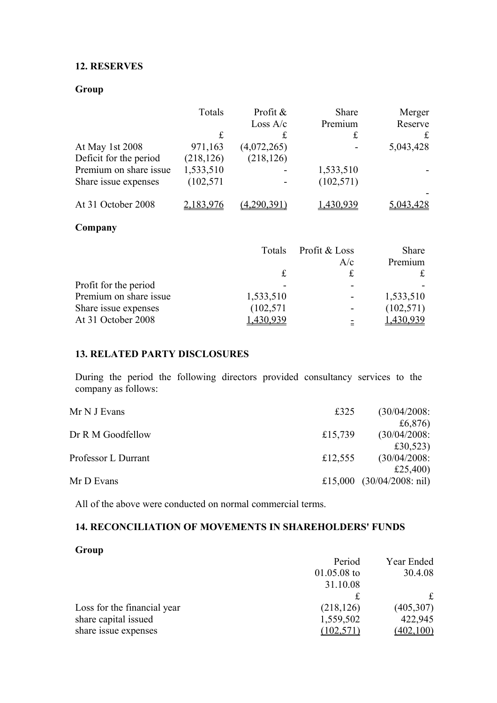### **12. RESERVES**

# **Group**

|                        | Totals      | Profit &<br>Loss $A/c$ | Share<br>Premium     | Merger<br>Reserve |
|------------------------|-------------|------------------------|----------------------|-------------------|
|                        | $\mathbf f$ | £                      | £                    | £                 |
| At May 1st 2008        | 971,163     | (4,072,265)            |                      | 5,043,428         |
| Deficit for the period | (218, 126)  | (218, 126)             |                      |                   |
| Premium on share issue | 1,533,510   |                        | 1,533,510            |                   |
| Share issue expenses   | (102, 571)  |                        | (102, 571)           |                   |
| At 31 October 2008     | 2,183,976   | (4,290,391)            | 1,430,939            |                   |
| Company                |             |                        |                      |                   |
|                        |             | Totals                 | Profit & Loss<br>A/c | Share<br>Premium  |
|                        |             | £                      | £                    | £                 |
| Drofit for the noriad  |             |                        |                      |                   |

| -          | -                        |            |
|------------|--------------------------|------------|
| 1,533,510  | $\overline{\phantom{0}}$ | 1,533,510  |
| (102, 571) | $\overline{\phantom{a}}$ | (102, 571) |
| 430 939    | $\overline{\phantom{a}}$ | 1,430,939  |
|            |                          |            |

# **13. RELATED PARTY DISCLOSURES**

During the period the following directors provided consultancy services to the company as follows:

| Mr N J Evans        | £325    | (30/04/2008)                       |
|---------------------|---------|------------------------------------|
|                     |         | £6,876)                            |
| Dr R M Goodfellow   | £15,739 | (30/04/2008)                       |
|                     |         | £30,523)                           |
| Professor L Durrant | £12,555 | (30/04/2008)                       |
|                     |         | £25,400)                           |
| Mr D Evans          |         | £15,000 $(30/04/2008; \text{nil})$ |
|                     |         |                                    |

All of the above were conducted on normal commercial terms.

# **14. RECONCILIATION OF MOVEMENTS IN SHAREHOLDERS' FUNDS**

# **Group**

|                             | Period        | Year Ended |
|-----------------------------|---------------|------------|
|                             | $01.05.08$ to | 30.4.08    |
|                             | 31.10.08      |            |
|                             |               | £          |
| Loss for the financial year | (218, 126)    | (405, 307) |
| share capital issued        | 1,559,502     | 422,945    |
| share issue expenses        | (102, 571)    | (402, 100) |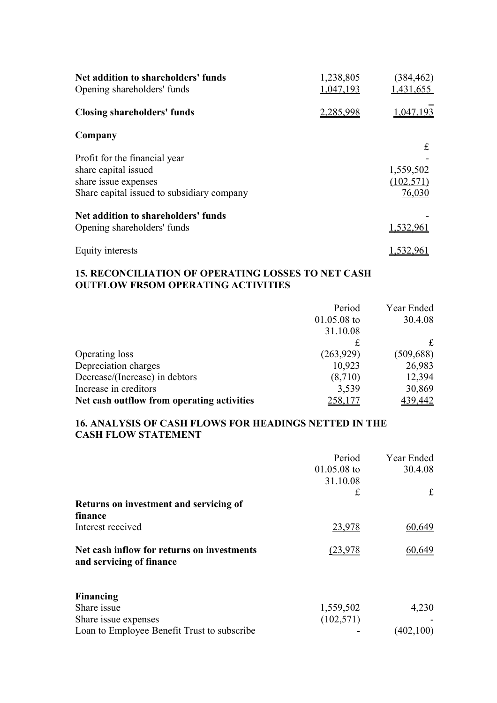| Net addition to shareholders' funds<br>Opening shareholders' funds | 1,238,805<br>1,047,193 | (384, 462)<br>1,431,655 |
|--------------------------------------------------------------------|------------------------|-------------------------|
| <b>Closing shareholders' funds</b>                                 | 2,285,998              | 1,047                   |
| Company                                                            |                        |                         |
| Profit for the financial year                                      |                        | £                       |
| share capital issued                                               |                        | 1,559,502               |
| share issue expenses                                               |                        | (102, 571)              |
| Share capital issued to subsidiary company                         |                        | 76,030                  |
| Net addition to shareholders' funds                                |                        |                         |
| Opening shareholders' funds                                        |                        | 1,532,961               |
| Equity interests                                                   |                        | 1,532,961               |

# **15. RECONCILIATION OF OPERATING LOSSES TO NET CASH OUTFLOW FR5OM OPERATING ACTIVITIES**

|                                            | Period        | Year Ended |
|--------------------------------------------|---------------|------------|
|                                            | $01.05.08$ to | 30.4.08    |
|                                            | 31.10.08      |            |
|                                            | £             | £          |
| Operating loss                             | (263,929)     | (509, 688) |
| Depreciation charges                       | 10,923        | 26,983     |
| Decrease/(Increase) in debtors             | (8,710)       | 12,394     |
| Increase in creditors                      | 3,539         | 30,869     |
| Net cash outflow from operating activities | 258,177       | 439,442    |

### **16. ANALYSIS OF CASH FLOWS FOR HEADINGS NETTED IN THE CASH FLOW STATEMENT**

|                                                                        | Period<br>$01.05.08$ to<br>31.10.08<br>£ | Year Ended<br>30.4.08<br>$\mathbf f$ |
|------------------------------------------------------------------------|------------------------------------------|--------------------------------------|
| Returns on investment and servicing of                                 |                                          |                                      |
| finance                                                                |                                          |                                      |
| Interest received                                                      | 23,978                                   | 60,649                               |
| Net cash inflow for returns on investments<br>and servicing of finance | (23.978                                  | 60.649                               |
| Financing                                                              |                                          |                                      |
| Share issue                                                            | 1,559,502                                | 4,230                                |
| Share issue expenses                                                   | (102, 571)                               |                                      |
| Loan to Employee Benefit Trust to subscribe                            |                                          | (402, 100)                           |